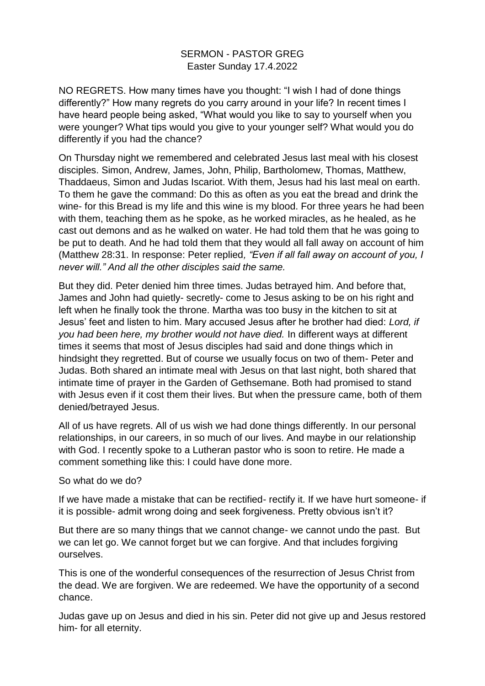## SERMON - PASTOR GREG Easter Sunday 17.4.2022

NO REGRETS. How many times have you thought: "I wish I had of done things differently?" How many regrets do you carry around in your life? In recent times I have heard people being asked, "What would you like to say to yourself when you were younger? What tips would you give to your younger self? What would you do differently if you had the chance?

On Thursday night we remembered and celebrated Jesus last meal with his closest disciples. Simon, Andrew, James, John, Philip, Bartholomew, Thomas, Matthew, Thaddaeus, Simon and Judas Iscariot. With them, Jesus had his last meal on earth. To them he gave the command: Do this as often as you eat the bread and drink the wine- for this Bread is my life and this wine is my blood. For three years he had been with them, teaching them as he spoke, as he worked miracles, as he healed, as he cast out demons and as he walked on water. He had told them that he was going to be put to death. And he had told them that they would all fall away on account of him (Matthew 28:31. In response: Peter replied*, "Even if all fall away on account of you, I never will." And all the other disciples said the same.* 

But they did. Peter denied him three times. Judas betrayed him. And before that, James and John had quietly- secretly- come to Jesus asking to be on his right and left when he finally took the throne. Martha was too busy in the kitchen to sit at Jesus' feet and listen to him. Mary accused Jesus after he brother had died: *Lord, if you had been here, my brother would not have died.* In different ways at different times it seems that most of Jesus disciples had said and done things which in hindsight they regretted. But of course we usually focus on two of them- Peter and Judas. Both shared an intimate meal with Jesus on that last night, both shared that intimate time of prayer in the Garden of Gethsemane. Both had promised to stand with Jesus even if it cost them their lives. But when the pressure came, both of them denied/betrayed Jesus.

All of us have regrets. All of us wish we had done things differently. In our personal relationships, in our careers, in so much of our lives. And maybe in our relationship with God. I recently spoke to a Lutheran pastor who is soon to retire. He made a comment something like this: I could have done more.

## So what do we do?

If we have made a mistake that can be rectified- rectify it. If we have hurt someone- if it is possible- admit wrong doing and seek forgiveness. Pretty obvious isn't it?

But there are so many things that we cannot change- we cannot undo the past. But we can let go. We cannot forget but we can forgive. And that includes forgiving ourselves.

This is one of the wonderful consequences of the resurrection of Jesus Christ from the dead. We are forgiven. We are redeemed. We have the opportunity of a second chance.

Judas gave up on Jesus and died in his sin. Peter did not give up and Jesus restored him- for all eternity.